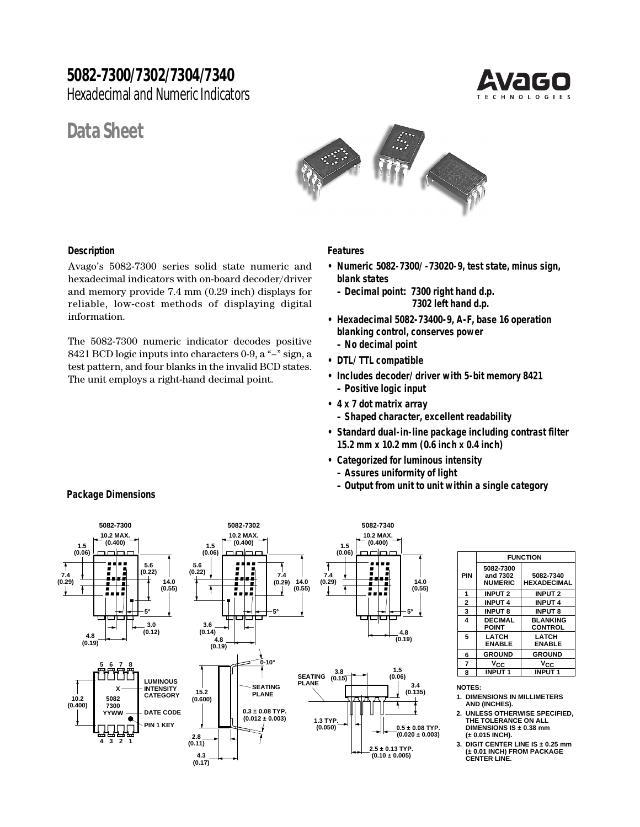## **5082-7300/7302/7304/7340**

Hexadecimal and Numeric Indicators

# **Data Sheet**





#### **Description**

Avago's 5082-7300 series solid state numeric and hexadecimal indicators with on-board decoder/driver and memory provide 7.4 mm (0.29 inch) displays for reliable, low-cost methods of displaying digital information.

The 5082-7300 numeric indicator decodes positive 8421 BCD logic inputs into characters 0-9, a "–" sign, a test pattern, and four blanks in the invalid BCD states. The unit employs a right-hand decimal point.

#### **Features**

- **• Numeric 5082-7300/-73020-9, test state, minus sign, blank states**
	- **Decimal point: 7300 right hand d.p. 7302 left hand d.p.**
- **• Hexadecimal 5082-73400-9, A-F, base 16 operation blanking control, conserves power – No decimal point**
- **• DTL/TTL compatible**
- **• Includes decoder/driver with 5-bit memory 8421 – Positive logic input**
- **4 x 7 dot matrix array**
	- **Shaped character, excellent readability**
- **• Standard dual-in-line package including contrast filter 15.2 mm x 10.2 mm (0.6 inch x 0.4 inch)**
- **• Categorized for luminous intensity**
	- **Assures uniformity of light**
- **Output from unit to unit within a single category Package Dimensions**



|                | <b>FUNCTION</b>                         |                                   |  |  |  |  |
|----------------|-----------------------------------------|-----------------------------------|--|--|--|--|
| PIN            | 5082-7300<br>and 7302<br><b>NUMERIC</b> | 5082-7340<br><b>HEXADECIMAL</b>   |  |  |  |  |
| 1              | <b>INPUT 2</b>                          | <b>INPUT 2</b>                    |  |  |  |  |
| $\overline{2}$ | INPUT 4                                 | <b>INPUT 4</b>                    |  |  |  |  |
| 3              | <b>INPUT 8</b>                          | <b>INPUT 8</b>                    |  |  |  |  |
| 4              | <b>DECIMAL</b><br>POINT                 | <b>BLANKING</b><br><b>CONTROL</b> |  |  |  |  |
| 5              | LATCH<br><b>FNABI F</b>                 | LATCH<br><b>FNABLE</b>            |  |  |  |  |
| 6              | <b>GROUND</b>                           | <b>GROUND</b>                     |  |  |  |  |
| 7              | Vcc                                     | Vcc                               |  |  |  |  |
| 8              | <b>INPUT1</b>                           | <b>INPUT1</b>                     |  |  |  |  |

**NOTES:**

- **1. DIMENSIONS IN MILLIMETERS AND (INCHES).**
- **2. UNLESS OTHERWISE SPECIFIED, THE TOLERANCE ON ALL DIMENSIONS IS ± 0.38 mm (± 0.015 INCH).**

**3. DIGIT CENTER LINE IS ± 0.25 mm (± 0.01 INCH) FROM PACKAGE CENTER LINE.**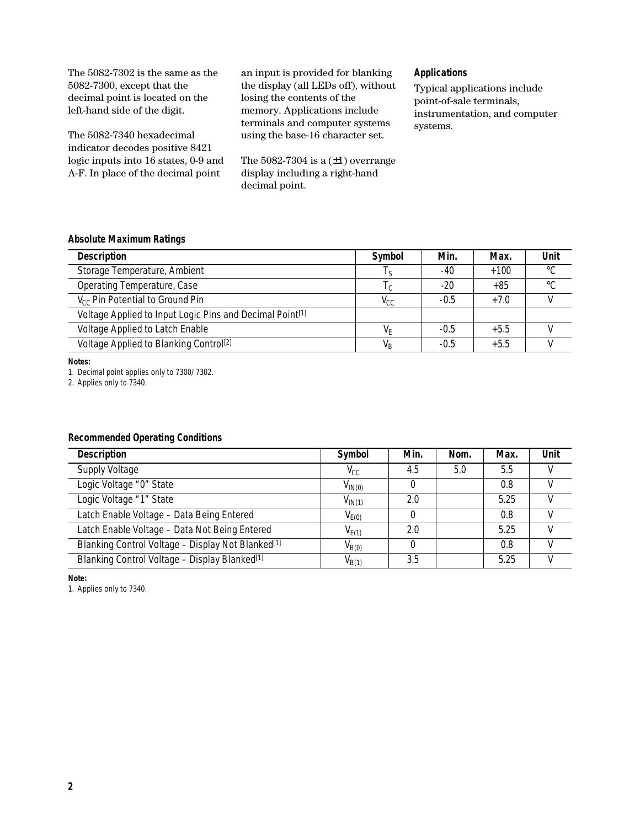| The 5082-7302 is the same as the<br>$5082-7300$ , except that the<br>decimal point is located on the<br>left-hand side of the digit. | an input is provided for blanking<br>the display (all LEDs off), without<br>losing the contents of the<br>memory. Applications include<br>terminals and computer systems | <b>Applications</b><br><b>Typical applications include</b><br>point-of-sale terminals,<br>instrumentation, and computer<br>systems. |
|--------------------------------------------------------------------------------------------------------------------------------------|--------------------------------------------------------------------------------------------------------------------------------------------------------------------------|-------------------------------------------------------------------------------------------------------------------------------------|
| The 5082-7340 hexadecimal<br>indicator decodes positive 8421                                                                         | using the base-16 character set.                                                                                                                                         |                                                                                                                                     |
| logic inputs into 16 states, 0-9 and<br>A-F. In place of the decimal point                                                           | The 5082-7304 is a $(\pm 1)$ overrange<br>display including a right-hand<br>decimal point.                                                                               |                                                                                                                                     |

## **Absolute Maximum Ratings**

| <b>Description</b>                                                   | Symbol                                           | Min.   | Max.   | Unit        |
|----------------------------------------------------------------------|--------------------------------------------------|--------|--------|-------------|
| Storage Temperature, Ambient                                         | Iς                                               | -40    | $+100$ | $^{\circ}C$ |
| Operating Temperature, Case                                          | <sub>1</sub> c                                   | $-20$  | $+85$  | $^{\circ}C$ |
| V <sub>cc</sub> Pin Potential to Ground Pin                          | $\mathsf{V}_{\!\scriptscriptstyle{\mathsf{CC}}}$ | $-0.5$ | $+7.0$ |             |
| Voltage Applied to Input Logic Pins and Decimal Point <sup>[1]</sup> |                                                  |        |        |             |
| Voltage Applied to Latch Enable                                      | VF                                               | $-0.5$ | $+5.5$ |             |
| Voltage Applied to Blanking Control <sup>[2]</sup>                   | $\mathsf{V}_\mathsf{B}$                          | $-0.5$ | $+5.5$ |             |

**Notes:**

1. Decimal point applies only to 7300/7302.

2. Applies only to 7340.

## **Recommended Operating Conditions**

| <b>Description</b>                                            | Symbol       | Min. | Nom. | Max. | Unit |
|---------------------------------------------------------------|--------------|------|------|------|------|
| <b>Supply Voltage</b>                                         | $V_{\rm CC}$ | 4.5  | 5.0  | 5.5  |      |
| Logic Voltage "0" State                                       | $V_{IN(0)}$  |      |      | 0.8  |      |
| Logic Voltage "1" State                                       | $V_{IN(1)}$  | 2.0  |      | 5.25 | V    |
| Latch Enable Voltage - Data Being Entered                     | $V_{E(0)}$   |      |      | 0.8  |      |
| Latch Enable Voltage - Data Not Being Entered                 | $V_{E(1)}$   | 2.0  |      | 5.25 |      |
| Blanking Control Voltage - Display Not Blanked <sup>[1]</sup> | $V_{B(0)}$   |      |      | 0.8  | V    |
| Blanking Control Voltage - Display Blanked <sup>[1]</sup>     | $V_{B(1)}$   | 3.5  |      | 5.25 |      |

**Note:**

1. Applies only to 7340.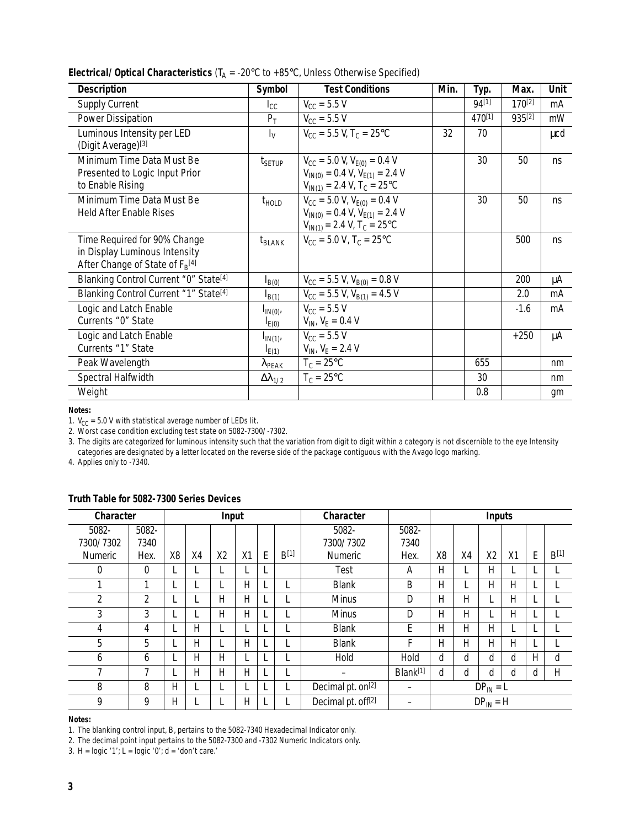| <b>Description</b>                                                                                    | Symbol                         | <b>Test Conditions</b>                                                                                                  | Min. | Typ.   | Max.        | <b>Unit</b> |
|-------------------------------------------------------------------------------------------------------|--------------------------------|-------------------------------------------------------------------------------------------------------------------------|------|--------|-------------|-------------|
| <b>Supply Current</b>                                                                                 | $I_{\text{CC}}$                | $V_{CC}$ = 5.5 V                                                                                                        |      | 94[1]  | $170^{[2]}$ | mA          |
| <b>Power Dissipation</b>                                                                              | $P_T$                          | $V_{CC}$ = 5.5 V                                                                                                        |      | 470[1] | 935[2]      | mW          |
| Luminous Intensity per LED<br>(Digit Average)[3]                                                      | $I_V$                          | $V_{\rm CC}$ = 5.5 V, T <sub>C</sub> = 25 °C                                                                            | 32   | 70     |             | μcd         |
| Minimum Time Data Must Be<br>Presented to Logic Input Prior<br>to Enable Rising                       | $t_{\scriptstyle\text{SETUP}}$ | $V_{CC}$ = 5.0 V, $V_{E(0)}$ = 0.4 V<br>$V_{IN(0)} = 0.4 V, V_{E(1)} = 2.4 V$<br>$V_{IN(1)} = 2.4 V, T_C = 25°C$        |      | 30     | 50          | ns          |
| Minimum Time Data Must Be<br><b>Held After Enable Rises</b>                                           | $t_{\text{HOLD}}$              | $V_{CC}$ = 5.0 V, $V_{E(0)}$ = 0.4 V<br>$V_{IN(0)} = 0.4 V, V_{E(1)} = 2.4 V$<br>$V_{IN(1)} = 2.4 V, T_C = 25^{\circ}C$ |      | 30     | 50          | ns          |
| Time Required for 90% Change<br>in Display Luminous Intensity<br>After Change of State of $F_R^{[4]}$ | $t_{BLANK}$                    | $V_{CC}$ = 5.0 V, T <sub>C</sub> = 25°C                                                                                 |      |        | 500         | ns          |
| Blanking Control Current "0" State <sup>[4]</sup>                                                     | $I_{B(0)}$                     | $V_{CC}$ = 5.5 V, V <sub>B(0)</sub> = 0.8 V                                                                             |      |        | 200         | μA          |
| Blanking Control Current "1" State <sup>[4]</sup>                                                     | $I_{B(1)}$                     | $V_{CC}$ = 5.5 V, V <sub>B(1)</sub> = 4.5 V                                                                             |      |        | 2.0         | mA          |
| Logic and Latch Enable<br>Currents "0" State                                                          | $I_{IN(0)}$<br>$I_{E(0)}$      | $V_{\text{CC}} = 5.5 V$<br>$V_{IN}$ , $V_F = 0.4$ V                                                                     |      |        | $-1.6$      | mA          |
| Logic and Latch Enable<br>Currents "1" State                                                          | $I_{IN(1)}$<br>$I_{E(1)}$      | $V_{\rm CC}$ = 5.5 V<br>$V_{IN}$ , $V_E = 2.4$ V                                                                        |      |        | $+250$      | μA          |
| Peak Wavelength                                                                                       | $\lambda_{\sf PEAK}$           | $T_c = 25^{\circ}C$                                                                                                     |      | 655    |             | nm          |
| Spectral Halfwidth                                                                                    | $\Delta\lambda_{1/2}$          | $T_c = 25^{\circ}C$                                                                                                     |      | 30     |             | nm          |
| Weight                                                                                                |                                |                                                                                                                         |      | 0.8    |             | gm          |

**Electrical/Optical Characteristics (T<sub>A</sub> = -20°C to +85°C, Unless Otherwise Specified)** 

**Notes:**

1.  $V_{CC}$  = 5.0 V with statistical average number of LEDs lit.

2. Worst case condition excluding test state on 5082-7300/-7302.

3. The digits are categorized for luminous intensity such that the variation from digit to digit within a category is not discernible to the eye Intensity categories are designated by a letter located on the reverse side of the package contiguous with the Avago logo marking.

4. Applies only to -7340.

| Character      |          |                |    | Input          |              |   |                  | Character                      |                      |               |    | <b>Inputs</b>  |    |   |                  |
|----------------|----------|----------------|----|----------------|--------------|---|------------------|--------------------------------|----------------------|---------------|----|----------------|----|---|------------------|
| 5082-          | 5082-    |                |    |                |              |   |                  | 5082-                          | 5082-                |               |    |                |    |   |                  |
| 7300/7302      | 7340     |                |    |                |              |   |                  | 7300/7302                      | 7340                 |               |    |                |    |   |                  |
| <b>Numeric</b> | Hex.     | X <sub>8</sub> | X4 | X <sub>2</sub> | X1           | E | B <sup>[1]</sup> | <b>Numeric</b>                 | Hex.                 | X8            | X4 | X <sub>2</sub> | X1 | E | B <sup>[1]</sup> |
| 0              | $\theta$ |                |    |                |              |   |                  | <b>Test</b>                    | A                    | Η             |    | Η              |    |   |                  |
|                | 1        |                |    |                | Н            |   |                  | <b>Blank</b>                   | B                    | Η             |    | Н              | Η  |   |                  |
| 2              | 2        |                |    | н              | H            |   |                  | <b>Minus</b>                   | D                    | н             | н  |                | H  |   |                  |
| 3              | 3        |                |    | H              | $\mathsf{H}$ |   |                  | <b>Minus</b>                   | D                    | Н             | H  |                | H  |   |                  |
| 4              | 4        |                | Н  |                |              |   |                  | <b>Blank</b>                   | Е                    | Н             | H. | Н              |    |   |                  |
| 5              | 5        |                | Н  |                | H            |   |                  | <b>Blank</b>                   | F                    | Н             | H. | н              | H  |   |                  |
| 6              | 6        |                | Η  | Н              |              |   |                  | Hold                           | Hold                 | d             | d  | d              | d  | Н | d                |
| 7              | 7        |                | Η  | Η              | Н            |   |                  |                                | Blank <sup>[1]</sup> | d             | d  | d              | d  | d | H                |
| 8              | 8        | н              |    |                |              |   |                  | Decimal pt. on <sup>[2]</sup>  |                      |               |    | $DP_{IN} = L$  |    |   |                  |
| 9              | 9        | Η              |    |                | Н            |   |                  | Decimal pt. off <sup>[2]</sup> |                      | $DP_{IN} = H$ |    |                |    |   |                  |

#### **Truth Table for 5082-7300 Series Devices**

#### **Notes:**

1. The blanking control input, B, pertains to the 5082-7340 Hexadecimal Indicator only.

2. The decimal point input pertains to the 5082-7300 and -7302 Numeric Indicators only.

3.  $H = logic '1'; L = logic '0'; d = 'don't care.'$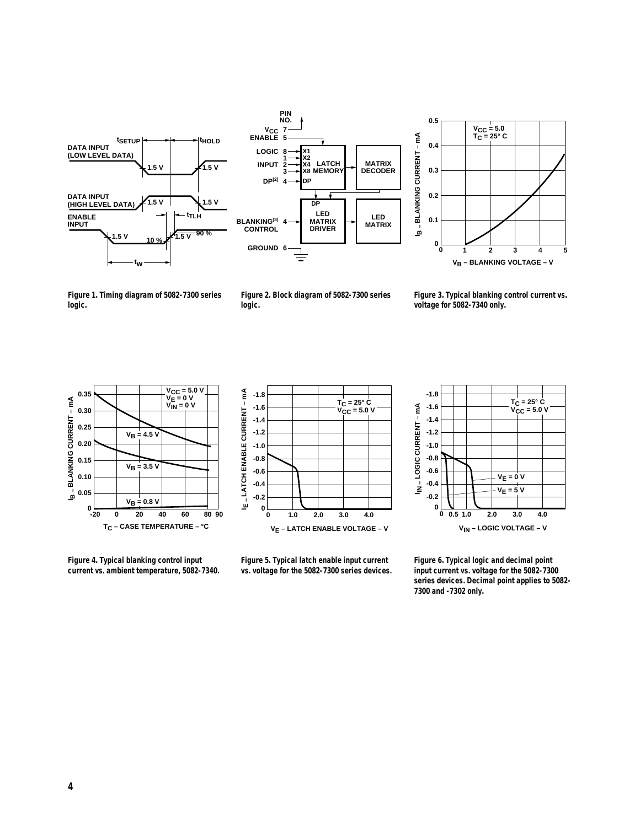





**Figure 1. Timing diagram of 5082-7300 series logic.**

**Figure 2. Block diagram of 5082-7300 series logic.**

**Figure 3. Typical blanking control current vs. voltage for 5082-7340 only.**



**Figure 4. Typical blanking control input current vs. ambient temperature, 5082-7340.**



**Figure 5. Typical latch enable input current vs. voltage for the 5082-7300 series devices.**



**Figure 6. Typical logic and decimal point input current vs. voltage for the 5082-7300 series devices. Decimal point applies to 5082- 7300 and -7302 only.**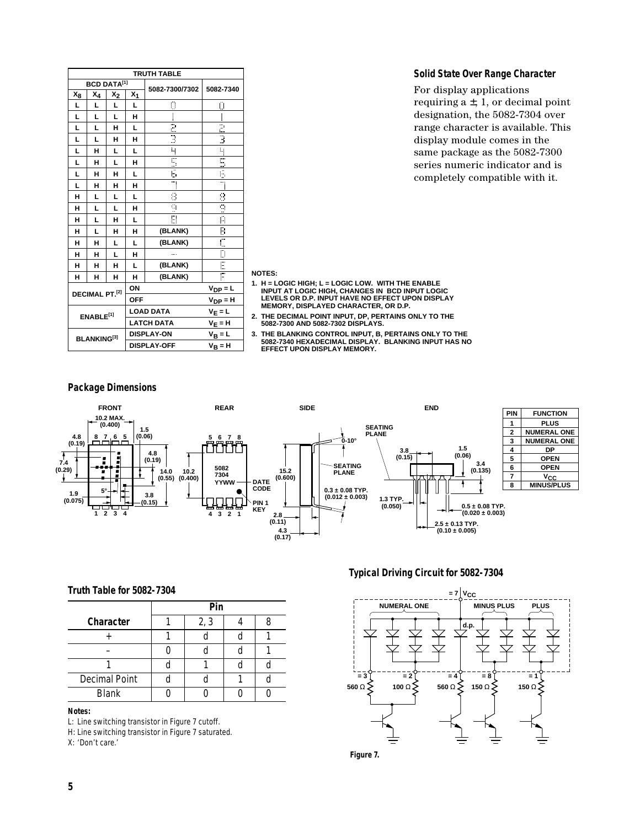| <b>TRUTH TABLE</b> |                       |                |            |                          |                |
|--------------------|-----------------------|----------------|------------|--------------------------|----------------|
| <b>BCD DATA[1]</b> |                       | 5082-7300/7302 | 5082-7340  |                          |                |
| X <sub>8</sub>     | X4                    | X2             | X1         |                          |                |
| L                  | L                     | L              | L          | Ċ,                       | Ċ,             |
| L                  | L                     | L              | н          |                          |                |
| L                  | L                     | н              | L          | $\overline{a}$           | $\overline{z}$ |
| L                  | L                     | н              | н          | 3                        | 3              |
| L                  | н                     | L              | L          | ł,                       | Ŋ              |
| L                  | н                     | L              | н          | Ę                        | $\mathbb{Z}$   |
| L                  | н                     | н              | L          | ī,                       | f,             |
| L                  | н                     | н              | н          | ٦                        | m              |
| н                  | L                     | L              | L          | Ó                        | Ó              |
| н                  | L                     | L              | н          | $\mathcal{C}_\mathrm{a}$ | $\frac{1}{2}$  |
| н                  | L                     | н              | L          | Ĥ                        | Ĥ              |
| н                  | L                     | н              | н          | (BLANK)                  | B              |
| н                  | н                     | L              | L          | (BLANK)                  |                |
| н                  | н                     | L              | н          |                          | D              |
| н                  | н                     | н              | L          | (BLANK)                  | Ē              |
| н                  | н                     | н              | н          | (BLANK)                  |                |
|                    | DECIMAL PT.[2]        |                | ON         |                          | $V_{DP} = L$   |
|                    |                       |                | <b>OFF</b> |                          | $V_{DP} = H$   |
|                    | ENABLE <sup>[1]</sup> |                |            | <b>LOAD DATA</b>         | $V_E = L$      |
|                    |                       |                |            | <b>LATCH DATA</b>        | $V_E = H$      |
| <b>BLANKING[3]</b> |                       |                |            | <b>DISPLAY-ON</b>        | $V_B = L$      |
|                    |                       |                |            | <b>DISPLAY-OFF</b>       | $V_B = H$      |

#### **Solid State Over Range Character**

For display applications requiring  $a \pm$ , 1, or decimal point designation, the 5082-7304 over range character is available. This display module comes in the same package as the 5082-7300 series numeric indicator and is completely compatible with it.

#### **NOTES:**

- **1. H = LOGIC HIGH; L = LOGIC LOW. WITH THE ENABLE INPUT AT LOGIC HIGH, CHANGES IN BCD INPUT LOGIC LEVELS OR D.P. INPUT HAVE NO EFFECT UPON DISPLAY MEMORY, DISPLAYED CHARACTER, OR D.P.**
- **2. THE DECIMAL POINT INPUT, DP, PERTAINS ONLY TO THE 5082-7300 AND 5082-7302 DISPLAYS.**
- **3. THE BLANKING CONTROL INPUT, B, PERTAINS ONLY TO THE 5082-7340 HEXADECIMAL DISPLAY. BLANKING INPUT HAS NO EFFECT UPON DISPLAY MEMORY.**

#### **Package Dimensions**



#### **Typical Driving Circuit for 5082-7304**



**Figure 7.**

#### **Truth Table for 5082-7304**

|                      | Pin |      |  |  |  |  |
|----------------------|-----|------|--|--|--|--|
| Character            |     | 2, 3 |  |  |  |  |
|                      |     |      |  |  |  |  |
|                      |     |      |  |  |  |  |
|                      |     |      |  |  |  |  |
| <b>Decimal Point</b> |     |      |  |  |  |  |
| <b>Blank</b>         |     |      |  |  |  |  |

#### **Notes:**

L: Line switching transistor in Figure 7 cutoff.

H: Line switching transistor in Figure 7 saturated.

X: 'Don't care.'